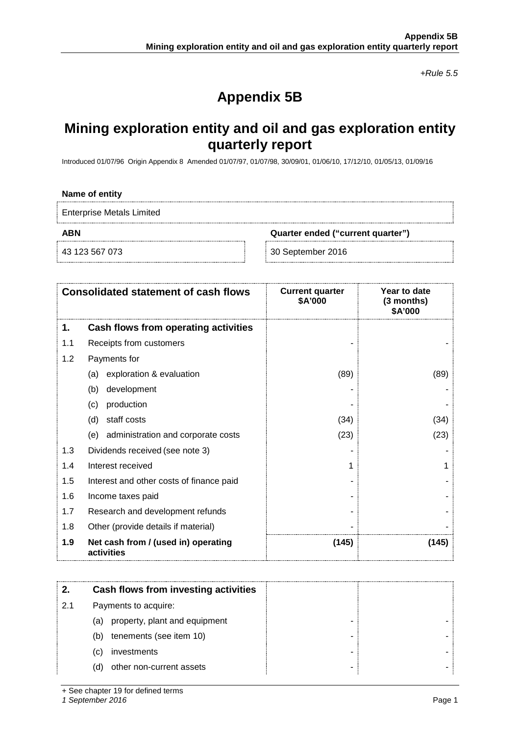*+Rule 5.5*

# **Appendix 5B**

## **Mining exploration entity and oil and gas exploration entity quarterly report**

Introduced 01/07/96 Origin Appendix 8 Amended 01/07/97, 01/07/98, 30/09/01, 01/06/10, 17/12/10, 01/05/13, 01/09/16

#### **Name of entity**

Enterprise Metals Limited

**ABN Quarter ended ("current quarter")**

43 123 567 073 30 September 2016

|     | <b>Consolidated statement of cash flows</b>       | <b>Current quarter</b><br>\$A'000 | Year to date<br>(3 months)<br>\$A'000 |
|-----|---------------------------------------------------|-----------------------------------|---------------------------------------|
| 1.  | Cash flows from operating activities              |                                   |                                       |
| 1.1 | Receipts from customers                           |                                   |                                       |
| 1.2 | Payments for                                      |                                   |                                       |
|     | exploration & evaluation<br>(a)                   | (89)                              | (89)                                  |
|     | (b)<br>development                                |                                   |                                       |
|     | production<br>(c)                                 |                                   |                                       |
|     | staff costs<br>(d)                                | (34)                              | (34)                                  |
|     | administration and corporate costs<br>(e)         | (23)                              | (23)                                  |
| 1.3 | Dividends received (see note 3)                   |                                   |                                       |
| 1.4 | Interest received                                 |                                   |                                       |
| 1.5 | Interest and other costs of finance paid          |                                   |                                       |
| 1.6 | Income taxes paid                                 |                                   |                                       |
| 1.7 | Research and development refunds                  |                                   |                                       |
| 1.8 | Other (provide details if material)               |                                   |                                       |
| 1.9 | Net cash from / (used in) operating<br>activities | (145)                             | (145)                                 |

|     | Cash flows from investing activities |  |
|-----|--------------------------------------|--|
| 2.1 | Payments to acquire:                 |  |
|     | property, plant and equipment<br>(a) |  |
|     | tenements (see item 10)<br>(b)       |  |
|     | investments<br>(C)                   |  |
|     | other non-current assets<br>(d)      |  |

+ See chapter 19 for defined terms

*1 September 2016* Page 1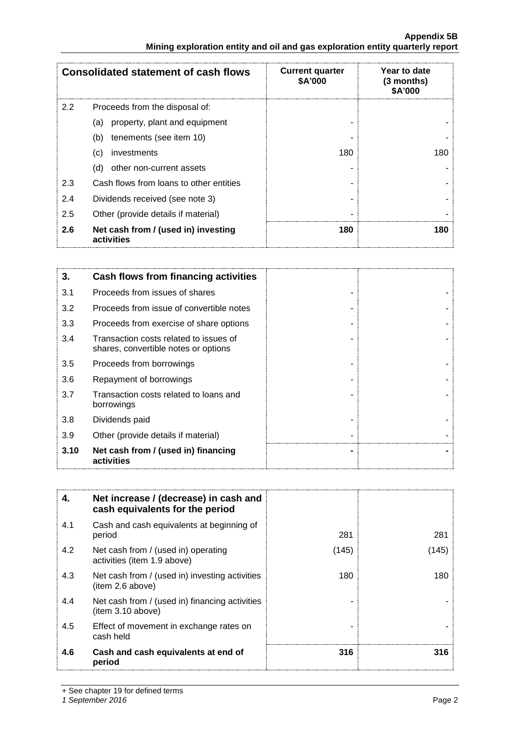## **Appendix 5B Mining exploration entity and oil and gas exploration entity quarterly report**

| <b>Consolidated statement of cash flows</b> |                                                   | <b>Current quarter</b><br><b>\$A'000</b> | Year to date<br>(3 months)<br>\$A'000 |
|---------------------------------------------|---------------------------------------------------|------------------------------------------|---------------------------------------|
| $2.2^{\circ}$                               | Proceeds from the disposal of:                    |                                          |                                       |
|                                             | property, plant and equipment<br>(a)              |                                          |                                       |
|                                             | tenements (see item 10)<br>(b)                    |                                          |                                       |
|                                             | investments<br>(c)                                | 180                                      | 180.                                  |
|                                             | other non-current assets<br>(d)                   |                                          |                                       |
| 2.3                                         | Cash flows from loans to other entities           |                                          |                                       |
| 2.4                                         | Dividends received (see note 3)                   |                                          |                                       |
| 2.5                                         | Other (provide details if material)               |                                          |                                       |
| 2.6                                         | Net cash from / (used in) investing<br>activities | 180                                      | 180                                   |

| 3.   | Cash flows from financing activities                                           |  |
|------|--------------------------------------------------------------------------------|--|
| 3.1  | Proceeds from issues of shares                                                 |  |
| 3.2  | Proceeds from issue of convertible notes                                       |  |
| 3.3  | Proceeds from exercise of share options                                        |  |
| 3.4  | Transaction costs related to issues of<br>shares, convertible notes or options |  |
| 3.5  | Proceeds from borrowings                                                       |  |
| 3.6  | Repayment of borrowings                                                        |  |
| 3.7  | Transaction costs related to loans and<br>borrowings                           |  |
| 3.8  | Dividends paid                                                                 |  |
| 3.9  | Other (provide details if material)                                            |  |
| 3.10 | Net cash from / (used in) financing<br>activities                              |  |

| 4.  | Net increase / (decrease) in cash and<br>cash equivalents for the period |       |      |
|-----|--------------------------------------------------------------------------|-------|------|
| 4.1 | Cash and cash equivalents at beginning of<br>period                      | 281   | 281  |
| 4.2 | Net cash from / (used in) operating<br>activities (item 1.9 above)       | (145) | 145) |
| 4.3 | Net cash from / (used in) investing activities<br>item 2.6 above)        | 180   | 180  |
| 4.4 | Net cash from / (used in) financing activities<br>(item 3.10 above)      |       |      |
| 4.5 | Effect of movement in exchange rates on<br>cash held                     |       |      |
| 4.6 | Cash and cash equivalents at end of<br>period                            | 316   | 316  |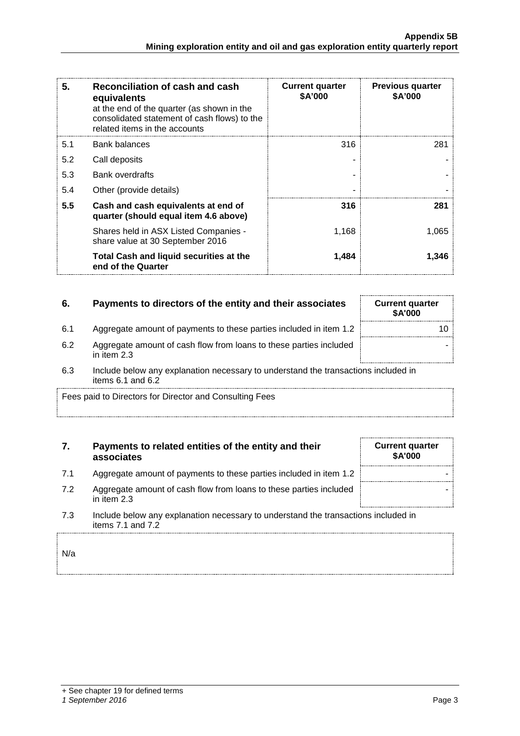| 5.  | Reconciliation of cash and cash<br>equivalents<br>at the end of the quarter (as shown in the<br>consolidated statement of cash flows) to the<br>related items in the accounts | <b>Current quarter</b><br>\$A'000 | <b>Previous quarter</b><br>\$A'000 |
|-----|-------------------------------------------------------------------------------------------------------------------------------------------------------------------------------|-----------------------------------|------------------------------------|
| 5.1 | Bank balances                                                                                                                                                                 | 316                               | 281                                |
| 5.2 | Call deposits                                                                                                                                                                 |                                   |                                    |
| 5.3 | <b>Bank overdrafts</b>                                                                                                                                                        |                                   |                                    |
| 5.4 | Other (provide details)                                                                                                                                                       |                                   |                                    |
| 5.5 | Cash and cash equivalents at end of<br>quarter (should equal item 4.6 above)                                                                                                  | 316                               | 281                                |
|     | Shares held in ASX Listed Companies -<br>share value at 30 September 2016                                                                                                     | 1,168                             | 1,065                              |
|     | Total Cash and liquid securities at the<br>end of the Quarter                                                                                                                 | 1,484                             | 1,346                              |

## **6.** Payments to directors of the entity and their associates Current quarter

- 6.1 Aggregate amount of payments to these parties included in item 1.2
- 6.2 Aggregate amount of cash flow from loans to these parties included in item 2.3
- 6.3 Include below any explanation necessary to understand the transactions included in items 6.1 and 6.2

Fees paid to Directors for Director and Consulting Fees

## **7. Payments to related entities of the entity and their associates**

- 7.1 Aggregate amount of payments to these parties included in item 1.2
- 7.2 Aggregate amount of cash flow from loans to these parties included in item 2.3
- 7.3 Include below any explanation necessary to understand the transactions included in items 7.1 and 7.2

N/a

|  | + See chapter 19 for defined terms |  |  |
|--|------------------------------------|--|--|
|  |                                    |  |  |

## *1 September 2016* Page 3

| Gurrent quarter<br><b>\$A'000</b> |    |
|-----------------------------------|----|
|                                   | 10 |
|                                   |    |
| in inoludod in                    |    |

÷

| <b>Current quarter</b><br><b>\$A'000</b> |  |
|------------------------------------------|--|
|                                          |  |
|                                          |  |
| the contract of the contract of the      |  |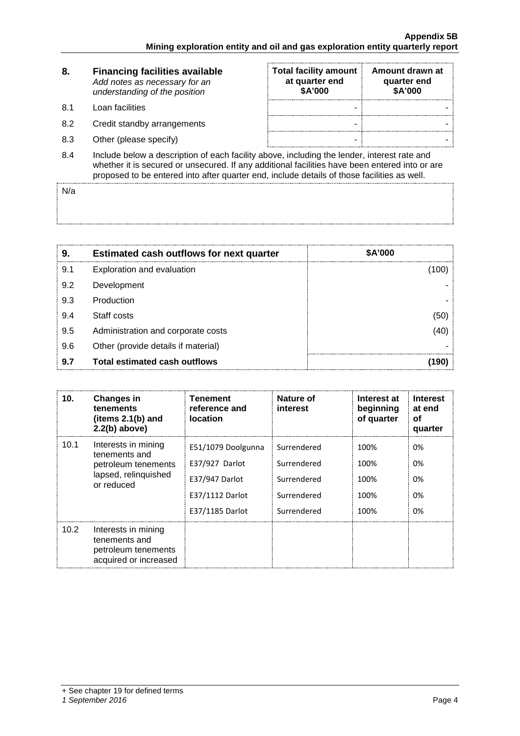| 8.  | <b>Financing facilities available</b><br>Add notes as necessary for an<br>understanding of the position                                                                                                                                                                                      | <b>Total facility amount</b><br>at quarter end<br>\$A'000 | Amount drawn at<br>quarter end<br>\$A'000 |
|-----|----------------------------------------------------------------------------------------------------------------------------------------------------------------------------------------------------------------------------------------------------------------------------------------------|-----------------------------------------------------------|-------------------------------------------|
| 8.1 | Loan facilities                                                                                                                                                                                                                                                                              |                                                           |                                           |
| 8.2 | Credit standby arrangements                                                                                                                                                                                                                                                                  | -                                                         |                                           |
| 8.3 | Other (please specify)                                                                                                                                                                                                                                                                       | -                                                         |                                           |
| 8.4 | Include below a description of each facility above, including the lender, interest rate and<br>whether it is secured or unsecured. If any additional facilities have been entered into or are<br>proposed to be entered into after quarter end, include details of those facilities as well. |                                                           |                                           |

N/a

| 9   | <b>Estimated cash outflows for next quarter</b> | \$A'000 |
|-----|-------------------------------------------------|---------|
| 9.1 | Exploration and evaluation                      |         |
| 9.2 | Development                                     |         |
| 9.3 | Production                                      |         |
| 9.4 | Staff costs                                     |         |
| 9.5 | Administration and corporate costs              |         |
| 9.6 | Other (provide details if material)             |         |
| 9.7 | <b>Total estimated cash outflows</b>            |         |

| 10.  | <b>Changes in</b><br>tenements<br>(items $2.1(b)$ and<br>$2.2(b)$ above)                          | Tenement<br>reference and<br><b>location</b>                                                 | Nature of<br>interest                                                   | Interest at<br>beginning<br>of quarter | <b>Interest</b><br>at end<br>οf<br>quarter |
|------|---------------------------------------------------------------------------------------------------|----------------------------------------------------------------------------------------------|-------------------------------------------------------------------------|----------------------------------------|--------------------------------------------|
| 10.1 | Interests in mining<br>tenements and<br>petroleum tenements<br>lapsed, relinquished<br>or reduced | E51/1079 Doolgunna<br>E37/927 Darlot<br>E37/947 Darlot<br>E37/1112 Darlot<br>E37/1185 Darlot | Surrendered<br>Surrendered<br>Surrendered<br>Surrendered<br>Surrendered | 100%<br>100%<br>100%<br>100%<br>100%   | 0%<br>0%<br>0%<br>0%<br>0%                 |
| 10.2 | Interests in mining<br>tenements and<br>petroleum tenements<br>acquired or increased              |                                                                                              |                                                                         |                                        |                                            |